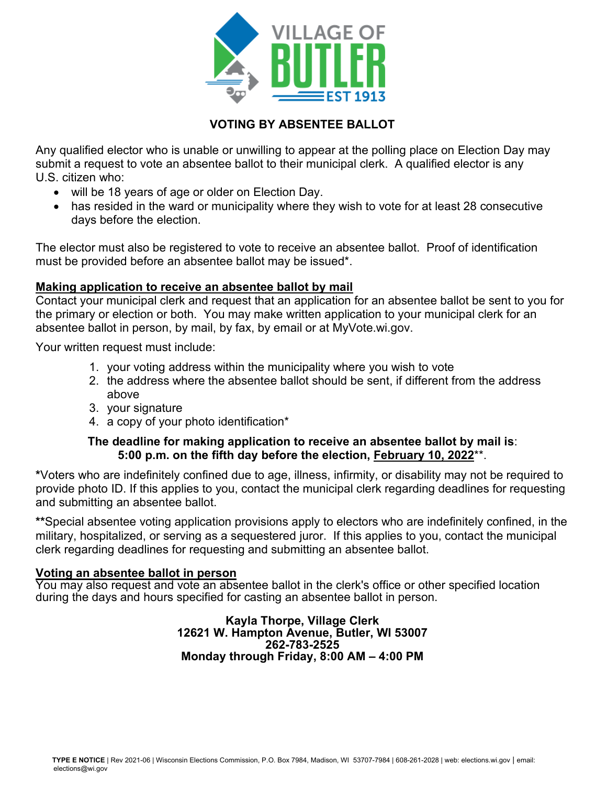

### **VOTING BY ABSENTEE BALLOT**

Any qualified elector who is unable or unwilling to appear at the polling place on Election Day may submit a request to vote an absentee ballot to their municipal clerk. A qualified elector is any U.S. citizen who:

- will be 18 years of age or older on Election Day.
- has resided in the ward or municipality where they wish to vote for at least 28 consecutive days before the election.

The elector must also be registered to vote to receive an absentee ballot. Proof of identification must be provided before an absentee ballot may be issued\*.

#### **Making application to receive an absentee ballot by mail**

Contact your municipal clerk and request that an application for an absentee ballot be sent to you for the primary or election or both. You may make written application to your municipal clerk for an absentee ballot in person, by mail, by fax, by email or at MyVote.wi.gov.

Your written request must include:

- 1. your voting address within the municipality where you wish to vote
- 2. the address where the absentee ballot should be sent, if different from the address above
- 3. your signature
- 4. a copy of your photo identification\*

#### **The deadline for making application to receive an absentee ballot by mail is**: **5:00 p.m. on the fifth day before the election, February 10, 2022**\*\*.

**\***Voters who are indefinitely confined due to age, illness, infirmity, or disability may not be required to provide photo ID. If this applies to you, contact the municipal clerk regarding deadlines for requesting and submitting an absentee ballot.

**\*\***Special absentee voting application provisions apply to electors who are indefinitely confined, in the military, hospitalized, or serving as a sequestered juror. If this applies to you, contact the municipal clerk regarding deadlines for requesting and submitting an absentee ballot.

#### **Voting an absentee ballot in person**

You may also request and vote an absentee ballot in the clerk's office or other specified location during the days and hours specified for casting an absentee ballot in person.

> **Kayla Thorpe, Village Clerk 12621 W. Hampton Avenue, Butler, WI 53007 262-783-2525 Monday through Friday, 8:00 AM – 4:00 PM**